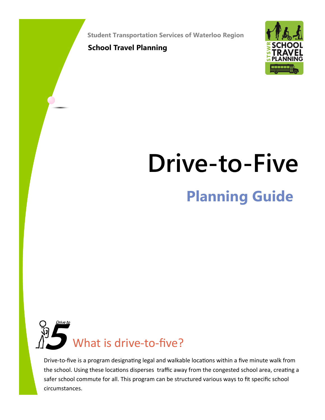**Student Transportation Services of Waterloo Region**

**School Travel Planning**



# **Planning Guide Drive-to-Five**



Drive-to-five is a program designating legal and walkable locations within a five minute walk from the school. Using these locations disperses traffic away from the congested school area, creating a safer school commute for all. This program can be structured various ways to fit specific school circumstances.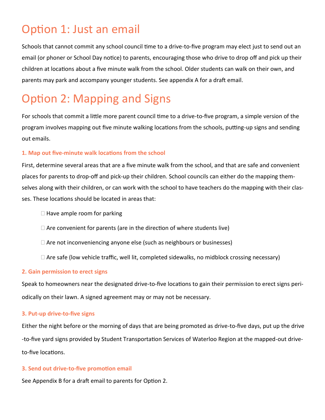### Option 1: Just an email

Schools that cannot commit any school council time to a drive-to-five program may elect just to send out an email (or phoner or School Day notice) to parents, encouraging those who drive to drop off and pick up their children at locations about a five minute walk from the school. Older students can walk on their own, and parents may park and accompany younger students. See appendix A for a draft email.

### Option 2: Mapping and Signs

For schools that commit a little more parent council time to a drive-to-five program, a simple version of the program involves mapping out five minute walking locations from the schools, putting-up signs and sending out emails.

#### **1. Map out five-minute walk locations from the school**

First, determine several areas that are a five minute walk from the school, and that are safe and convenient places for parents to drop-off and pick-up their children. School councils can either do the mapping themselves along with their children, or can work with the school to have teachers do the mapping with their classes. These locations should be located in areas that:

- $\Box$  Have ample room for parking
- $\Box$  Are convenient for parents (are in the direction of where students live)
- $\Box$  Are not inconveniencing anyone else (such as neighbours or businesses)
- $\Box$  Are safe (low vehicle traffic, well lit, completed sidewalks, no midblock crossing necessary)

#### **2. Gain permission to erect signs**

Speak to homeowners near the designated drive-to-five locations to gain their permission to erect signs periodically on their lawn. A signed agreement may or may not be necessary.

#### **3. Put-up drive-to-five signs**

Either the night before or the morning of days that are being promoted as drive-to-five days, put up the drive -to-five yard signs provided by Student Transportation Services of Waterloo Region at the mapped-out driveto-five locations.

#### **3. Send out drive-to-five promotion email**

See Appendix B for a draft email to parents for Option 2.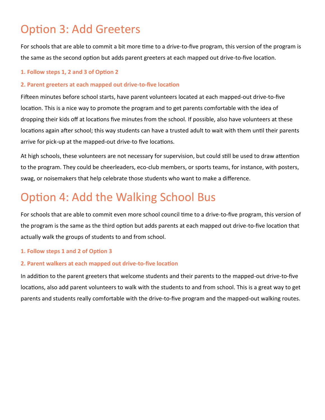### Option 3: Add Greeters

For schools that are able to commit a bit more time to a drive-to-five program, this version of the program is the same as the second option but adds parent greeters at each mapped out drive-to-five location.

#### **1. Follow steps 1, 2 and 3 of Option 2**

#### **2. Parent greeters at each mapped out drive-to-five location**

Fifteen minutes before school starts, have parent volunteers located at each mapped-out drive-to-five location. This is a nice way to promote the program and to get parents comfortable with the idea of dropping their kids off at locations five minutes from the school. If possible, also have volunteers at these locations again after school; this way students can have a trusted adult to wait with them until their parents arrive for pick-up at the mapped-out drive-to five locations.

At high schools, these volunteers are not necessary for supervision, but could still be used to draw attention to the program. They could be cheerleaders, eco-club members, or sports teams, for instance, with posters, swag, or noisemakers that help celebrate those students who want to make a difference.

# Option 4: Add the Walking School Bus

For schools that are able to commit even more school council time to a drive-to-five program, this version of the program is the same as the third option but adds parents at each mapped out drive-to-five location that actually walk the groups of students to and from school.

#### **1. Follow steps 1 and 2 of Option 3**

#### **2. Parent walkers at each mapped out drive-to-five location**

In addition to the parent greeters that welcome students and their parents to the mapped-out drive-to-five locations, also add parent volunteers to walk with the students to and from school. This is a great way to get parents and students really comfortable with the drive-to-five program and the mapped-out walking routes.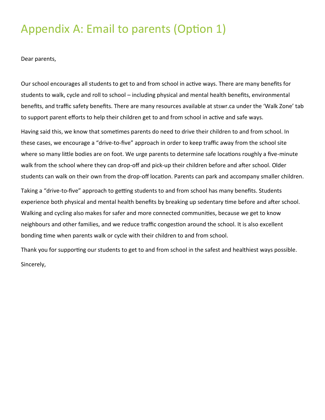### Appendix A: Email to parents (Option 1)

Dear parents,

Our school encourages all students to get to and from school in active ways. There are many benefits for students to walk, cycle and roll to school – including physical and mental health benefits, environmental benefits, and traffic safety benefits. There are many resources available at stswr.ca under the 'Walk Zone' tab to support parent efforts to help their children get to and from school in active and safe ways.

Having said this, we know that sometimes parents do need to drive their children to and from school. In these cases, we encourage a "drive-to-five" approach in order to keep traffic away from the school site where so many little bodies are on foot. We urge parents to determine safe locations roughly a five-minute walk from the school where they can drop-off and pick-up their children before and after school. Older students can walk on their own from the drop-off location. Parents can park and accompany smaller children.

Taking a "drive-to-five" approach to getting students to and from school has many benefits. Students experience both physical and mental health benefits by breaking up sedentary time before and after school. Walking and cycling also makes for safer and more connected communities, because we get to know neighbours and other families, and we reduce traffic congestion around the school. It is also excellent bonding time when parents walk or cycle with their children to and from school.

Thank you for supporting our students to get to and from school in the safest and healthiest ways possible. Sincerely,